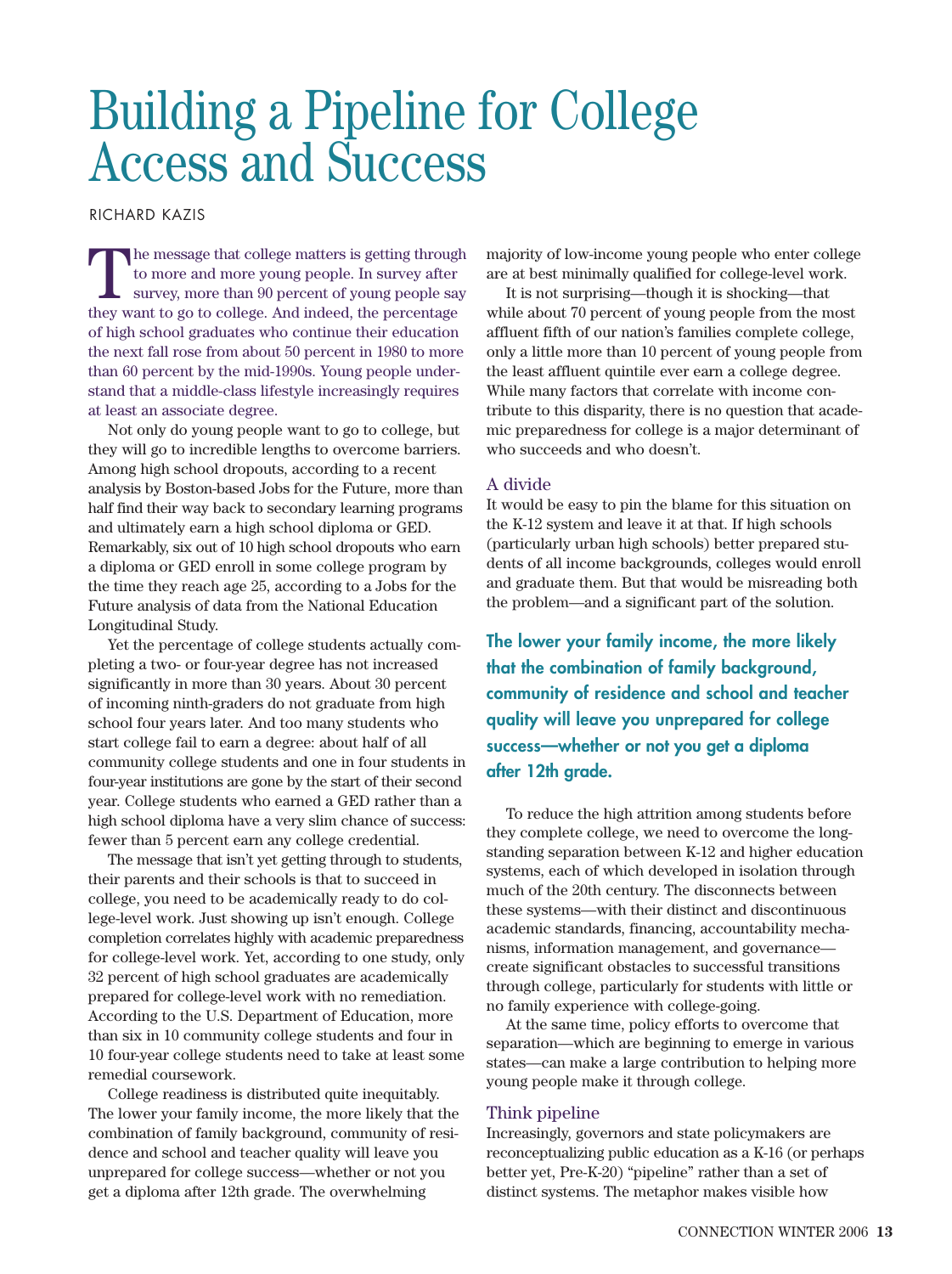# Building a Pipeline for College Access and Success

RICHARD KAZIS

The message that college matters is getting through<br>to more and more young people. In survey after<br>survey, more than 90 percent of young people say<br>thou want to go to college. And indeed, the percentage to more and more young people. In survey after they want to go to college. And indeed, the percentage of high school graduates who continue their education the next fall rose from about 50 percent in 1980 to more than 60 percent by the mid-1990s. Young people understand that a middle-class lifestyle increasingly requires at least an associate degree.

Not only do young people want to go to college, but they will go to incredible lengths to overcome barriers. Among high school dropouts, according to a recent analysis by Boston-based Jobs for the Future, more than half find their way back to secondary learning programs and ultimately earn a high school diploma or GED. Remarkably, six out of 10 high school dropouts who earn a diploma or GED enroll in some college program by the time they reach age 25, according to a Jobs for the Future analysis of data from the National Education Longitudinal Study.

Yet the percentage of college students actually completing a two- or four-year degree has not increased significantly in more than 30 years. About 30 percent of incoming ninth-graders do not graduate from high school four years later. And too many students who start college fail to earn a degree: about half of all community college students and one in four students in four-year institutions are gone by the start of their second year. College students who earned a GED rather than a high school diploma have a very slim chance of success: fewer than 5 percent earn any college credential.

The message that isn't yet getting through to students, their parents and their schools is that to succeed in college, you need to be academically ready to do college-level work. Just showing up isn't enough. College completion correlates highly with academic preparedness for college-level work. Yet, according to one study, only 32 percent of high school graduates are academically prepared for college-level work with no remediation. According to the U.S. Department of Education, more than six in 10 community college students and four in 10 four-year college students need to take at least some remedial coursework.

College readiness is distributed quite inequitably. The lower your family income, the more likely that the combination of family background, community of residence and school and teacher quality will leave you unprepared for college success—whether or not you get a diploma after 12th grade. The overwhelming

majority of low-income young people who enter college are at best minimally qualified for college-level work.

It is not surprising—though it is shocking—that while about 70 percent of young people from the most affluent fifth of our nation's families complete college, only a little more than 10 percent of young people from the least affluent quintile ever earn a college degree. While many factors that correlate with income contribute to this disparity, there is no question that academic preparedness for college is a major determinant of who succeeds and who doesn't.

## A divide

It would be easy to pin the blame for this situation on the K-12 system and leave it at that. If high schools (particularly urban high schools) better prepared students of all income backgrounds, colleges would enroll and graduate them. But that would be misreading both the problem—and a significant part of the solution.

**The lower your family income, the more likely that the combination of family background, community of residence and school and teacher quality will leave you unprepared for college success—whether or not you get a diploma after 12th grade.**

To reduce the high attrition among students before they complete college, we need to overcome the longstanding separation between K-12 and higher education systems, each of which developed in isolation through much of the 20th century. The disconnects between these systems—with their distinct and discontinuous academic standards, financing, accountability mechanisms, information management, and governance create significant obstacles to successful transitions through college, particularly for students with little or no family experience with college-going.

At the same time, policy efforts to overcome that separation—which are beginning to emerge in various states—can make a large contribution to helping more young people make it through college.

### Think pipeline

Increasingly, governors and state policymakers are reconceptualizing public education as a K-16 (or perhaps better yet, Pre-K-20) "pipeline" rather than a set of distinct systems. The metaphor makes visible how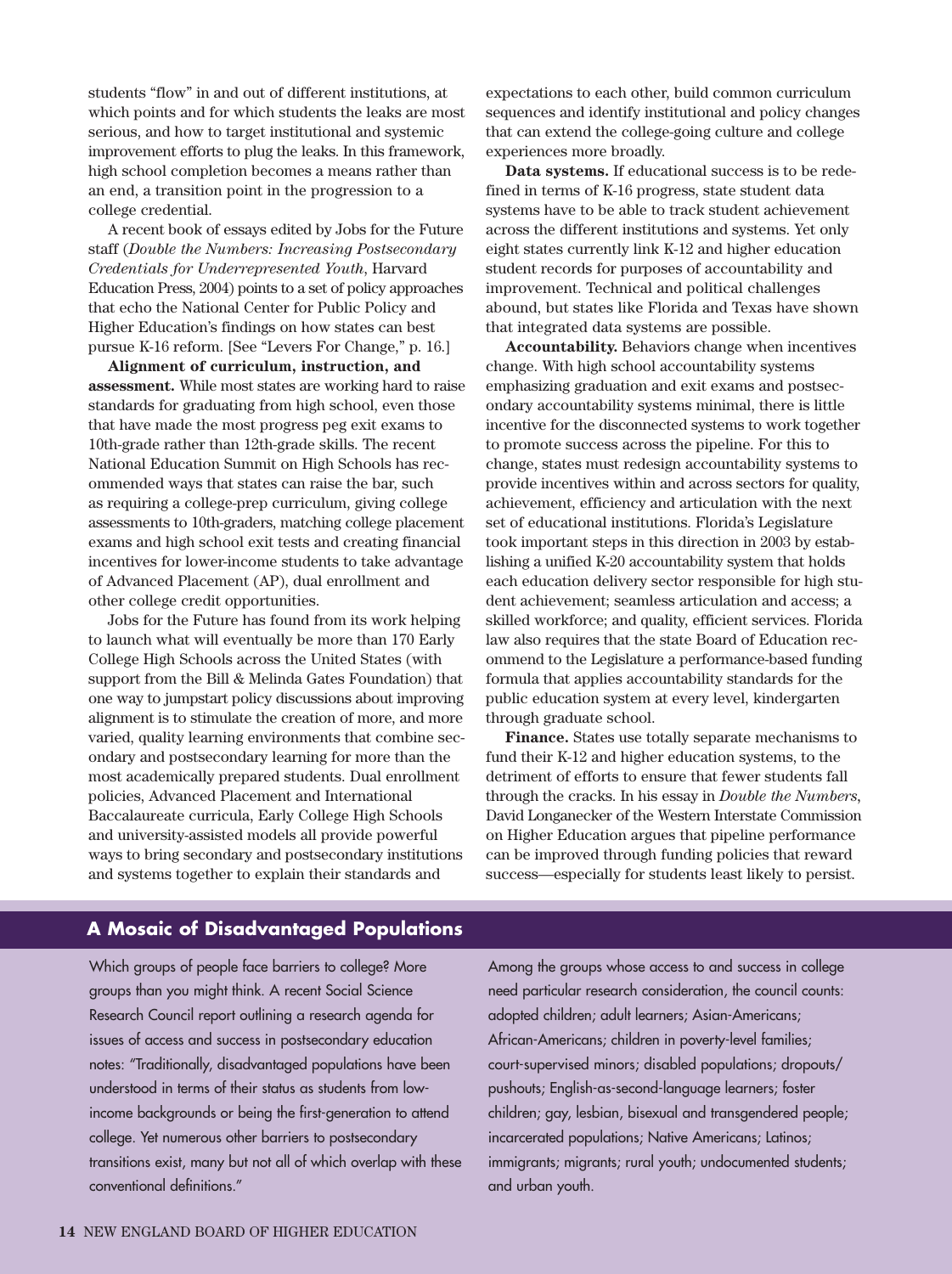students "flow" in and out of different institutions, at which points and for which students the leaks are most serious, and how to target institutional and systemic improvement efforts to plug the leaks. In this framework, high school completion becomes a means rather than an end, a transition point in the progression to a college credential.

A recent book of essays edited by Jobs for the Future staff (*Double the Numbers: Increasing Postsecondary Credentials for Underrepresented Youth*, Harvard Education Press, 2004) points to a set of policy approaches that echo the National Center for Public Policy and Higher Education's findings on how states can best pursue K-16 reform. [See "Levers For Change," p. 16.]

**Alignment of curriculum, instruction, and assessment.** While most states are working hard to raise standards for graduating from high school, even those that have made the most progress peg exit exams to 10th-grade rather than 12th-grade skills. The recent National Education Summit on High Schools has recommended ways that states can raise the bar, such as requiring a college-prep curriculum, giving college assessments to 10th-graders, matching college placement exams and high school exit tests and creating financial incentives for lower-income students to take advantage of Advanced Placement (AP), dual enrollment and other college credit opportunities.

Jobs for the Future has found from its work helping to launch what will eventually be more than 170 Early College High Schools across the United States (with support from the Bill & Melinda Gates Foundation) that one way to jumpstart policy discussions about improving alignment is to stimulate the creation of more, and more varied, quality learning environments that combine secondary and postsecondary learning for more than the most academically prepared students. Dual enrollment policies, Advanced Placement and International Baccalaureate curricula, Early College High Schools and university-assisted models all provide powerful ways to bring secondary and postsecondary institutions and systems together to explain their standards and

expectations to each other, build common curriculum sequences and identify institutional and policy changes that can extend the college-going culture and college experiences more broadly.

**Data systems.** If educational success is to be redefined in terms of K-16 progress, state student data systems have to be able to track student achievement across the different institutions and systems. Yet only eight states currently link K-12 and higher education student records for purposes of accountability and improvement. Technical and political challenges abound, but states like Florida and Texas have shown that integrated data systems are possible.

**Accountability.** Behaviors change when incentives change. With high school accountability systems emphasizing graduation and exit exams and postsecondary accountability systems minimal, there is little incentive for the disconnected systems to work together to promote success across the pipeline. For this to change, states must redesign accountability systems to provide incentives within and across sectors for quality, achievement, efficiency and articulation with the next set of educational institutions. Florida's Legislature took important steps in this direction in 2003 by establishing a unified K-20 accountability system that holds each education delivery sector responsible for high student achievement; seamless articulation and access; a skilled workforce; and quality, efficient services. Florida law also requires that the state Board of Education recommend to the Legislature a performance-based funding formula that applies accountability standards for the public education system at every level, kindergarten through graduate school.

**Finance.** States use totally separate mechanisms to fund their K-12 and higher education systems, to the detriment of efforts to ensure that fewer students fall through the cracks. In his essay in *Double the Numbers,* David Longanecker of the Western Interstate Commission on Higher Education argues that pipeline performance can be improved through funding policies that reward success—especially for students least likely to persist.

# **A Mosaic of Disadvantaged Populations**

Which groups of people face barriers to college? More groups than you might think. A recent Social Science Research Council report outlining a research agenda for issues of access and success in postsecondary education notes: "Traditionally, disadvantaged populations have been understood in terms of their status as students from lowincome backgrounds or being the first-generation to attend college. Yet numerous other barriers to postsecondary transitions exist, many but not all of which overlap with these conventional definitions."

Among the groups whose access to and success in college need particular research consideration, the council counts: adopted children; adult learners; Asian-Americans; African-Americans; children in poverty-level families; court-supervised minors; disabled populations; dropouts/ pushouts; English-as-second-language learners; foster children; gay, lesbian, bisexual and transgendered people; incarcerated populations; Native Americans; Latinos; immigrants; migrants; rural youth; undocumented students; and urban youth.